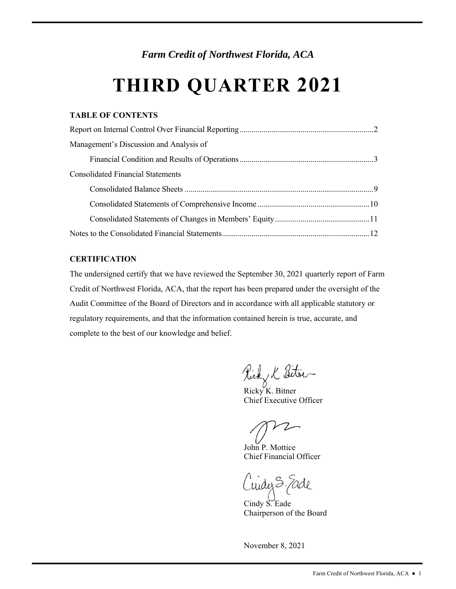*Farm Credit of Northwest Florida, ACA* 

# **THIRD QUARTER 2021**

# **TABLE OF CONTENTS**

| Management's Discussion and Analysis of  |  |
|------------------------------------------|--|
|                                          |  |
| <b>Consolidated Financial Statements</b> |  |
|                                          |  |
|                                          |  |
|                                          |  |
|                                          |  |

# **CERTIFICATION**

The undersigned certify that we have reviewed the September 30, 2021 quarterly report of Farm Credit of Northwest Florida, ACA, that the report has been prepared under the oversight of the Audit Committee of the Board of Directors and in accordance with all applicable statutory or regulatory requirements, and that the information contained herein is true, accurate, and complete to the best of our knowledge and belief.

Ricky K Sitres

Chief Executive Officer

Chief Financial Officer John P. Mottice

widez S. Eade

Cindy S. Eade Chairperson of the Board

November 8, 2021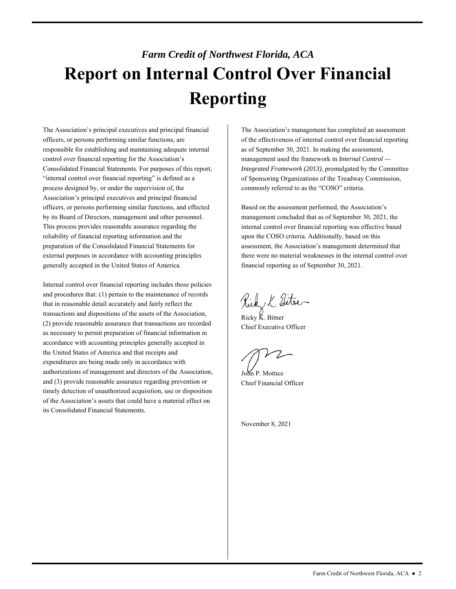# *Farm Credit of Northwest Florida, ACA*  **Report on Internal Control Over Financial Reporting**

 control over financial reporting for the Association's generally accepted in the United States of America. The Association's principal executives and principal financial officers, or persons performing similar functions, are responsible for establishing and maintaining adequate internal Consolidated Financial Statements. For purposes of this report, "internal control over financial reporting" is defined as a process designed by, or under the supervision of, the Association's principal executives and principal financial officers, or persons performing similar functions, and effected by its Board of Directors, management and other personnel. This process provides reasonable assurance regarding the reliability of financial reporting information and the preparation of the Consolidated Financial Statements for external purposes in accordance with accounting principles

 accordance with accounting principles generally accepted in authorizations of management and directors of the Association, of the Association's assets that could have a material effect on Internal control over financial reporting includes those policies and procedures that: (1) pertain to the maintenance of records that in reasonable detail accurately and fairly reflect the transactions and dispositions of the assets of the Association, (2) provide reasonable assurance that transactions are recorded as necessary to permit preparation of financial information in the United States of America and that receipts and expenditures are being made only in accordance with and (3) provide reasonable assurance regarding prevention or timely detection of unauthorized acquisition, use or disposition its Consolidated Financial Statements.

 commonly referred to as the "COSO" criteria. The Association's management has completed an assessment of the effectiveness of internal control over financial reporting as of September 30, 2021. In making the assessment, management used the framework in *Internal Control — Integrated Framework (2013)*, promulgated by the Committee of Sponsoring Organizations of the Treadway Commission,

Based on the assessment performed, the Association's management concluded that as of September 30, 2021, the internal control over financial reporting was effective based upon the COSO criteria. Additionally, based on this assessment, the Association's management determined that there were no material weaknesses in the internal control over financial reporting as of September 30, 2021.

Rick & Sitre

 Ricky K. Bitner Chief Executive Officer

John P. Mottice Chief Financial Officer

November 8, 2021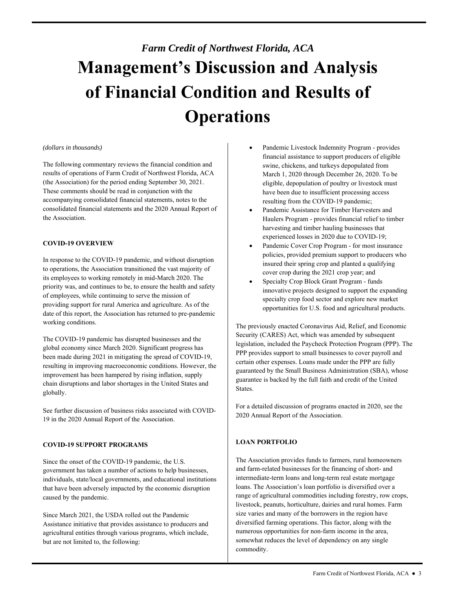# *Farm Credit of Northwest Florida, ACA*  **Management's Discussion and Analysis of Financial Condition and Results of Operations**

### *(dollars in thousands)*

 The following commentary reviews the financial condition and These comments should be read in conjunction with the results of operations of Farm Credit of Northwest Florida, ACA (the Association) for the period ending September 30, 2021. accompanying consolidated financial statements, notes to the consolidated financial statements and the 2020 Annual Report of the Association.

### **COVID-19 OVERVIEW**

In response to the COVID-19 pandemic, and without disruption to operations, the Association transitioned the vast majority of its employees to working remotely in mid-March 2020. The priority was, and continues to be, to ensure the health and safety of employees, while continuing to serve the mission of providing support for rural America and agriculture. As of the date of this report, the Association has returned to pre-pandemic working conditions.

The COVID-19 pandemic has disrupted businesses and the global economy since March 2020. Significant progress has been made during 2021 in mitigating the spread of COVID-19, resulting in improving macroeconomic conditions. However, the improvement has been hampered by rising inflation, supply chain disruptions and labor shortages in the United States and globally.

See further discussion of business risks associated with COVID-19 in the 2020 Annual Report of the Association.

### **COVID-19 SUPPORT PROGRAMS**

 that have been adversely impacted by the economic disruption Since the onset of the COVID-19 pandemic, the U.S. government has taken a number of actions to help businesses, individuals, state/local governments, and educational institutions caused by the pandemic.

 Assistance initiative that provides assistance to producers and Since March 2021, the USDA rolled out the Pandemic agricultural entities through various programs, which include, but are not limited to, the following:

- resulting from the COVID-19 pandemic; Pandemic Livestock Indemnity Program - provides financial assistance to support producers of eligible swine, chickens, and turkeys depopulated from March 1, 2020 through December 26, 2020. To be eligible, depopulation of poultry or livestock must have been due to insufficient processing access
- harvesting and timber hauling businesses that Pandemic Assistance for Timber Harvesters and Haulers Program - provides financial relief to timber experienced losses in 2020 due to COVID-19;
- Pandemic Cover Crop Program for most insurance policies, provided premium support to producers who insured their spring crop and planted a qualifying cover crop during the 2021 crop year; and
- Specialty Crop Block Grant Program funds innovative projects designed to support the expanding specialty crop food sector and explore new market opportunities for U.S. food and agricultural products.

 Security (CARES) Act, which was amended by subsequent guaranteed by the Small Business Administration (SBA), whose The previously enacted Coronavirus Aid, Relief, and Economic legislation, included the Paycheck Protection Program (PPP). The PPP provides support to small businesses to cover payroll and certain other expenses. Loans made under the PPP are fully guarantee is backed by the full faith and credit of the United States.

For a detailed discussion of programs enacted in 2020, see the 2020 Annual Report of the Association.

# **LOAN PORTFOLIO**

 intermediate-term loans and long-term real estate mortgage livestock, peanuts, horticulture, dairies and rural homes. Farm size varies and many of the borrowers in the region have The Association provides funds to farmers, rural homeowners and farm-related businesses for the financing of short- and loans. The Association's loan portfolio is diversified over a range of agricultural commodities including forestry, row crops, diversified farming operations. This factor, along with the numerous opportunities for non-farm income in the area, somewhat reduces the level of dependency on any single commodity.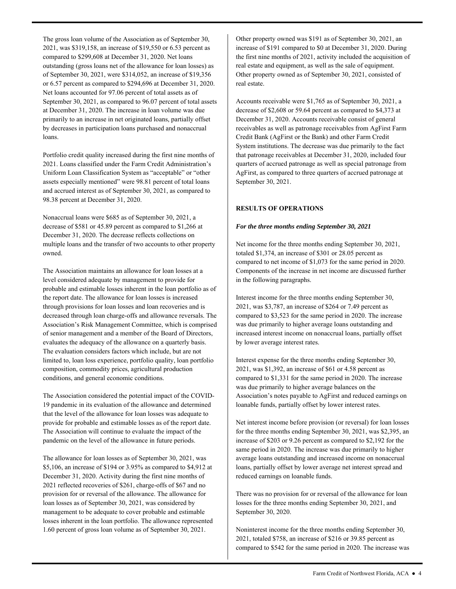Net loans accounted for 97.06 percent of total assets as of The gross loan volume of the Association as of September 30, 2021, was \$319,158, an increase of \$19,550 or 6.53 percent as compared to \$299,608 at December 31, 2020. Net loans outstanding (gross loans net of the allowance for loan losses) as of September 30, 2021, were \$314,052, an increase of \$19,356 or 6.57 percent as compared to \$294,696 at December 31, 2020. September 30, 2021, as compared to 96.07 percent of total assets at December 31, 2020. The increase in loan volume was due primarily to an increase in net originated loans, partially offset by decreases in participation loans purchased and nonaccrual loans.

 Uniform Loan Classification System as "acceptable" or "other Portfolio credit quality increased during the first nine months of 2021. Loans classified under the Farm Credit Administration's assets especially mentioned" were 98.81 percent of total loans and accrued interest as of September 30, 2021, as compared to 98.38 percent at December 31, 2020.

Nonaccrual loans were \$685 as of September 30, 2021, a decrease of \$581 or 45.89 percent as compared to \$1,266 at December 31, 2020. The decrease reflects collections on multiple loans and the transfer of two accounts to other property owned.

 The Association maintains an allowance for loan losses at a probable and estimable losses inherent in the loan portfolio as of evaluates the adequacy of the allowance on a quarterly basis. limited to, loan loss experience, portfolio quality, loan portfolio level considered adequate by management to provide for the report date. The allowance for loan losses is increased through provisions for loan losses and loan recoveries and is decreased through loan charge-offs and allowance reversals. The Association's Risk Management Committee, which is comprised of senior management and a member of the Board of Directors, The evaluation considers factors which include, but are not composition, commodity prices, agricultural production conditions, and general economic conditions.

 that the level of the allowance for loan losses was adequate to The Association considered the potential impact of the COVID-19 pandemic in its evaluation of the allowance and determined provide for probable and estimable losses as of the report date. The Association will continue to evaluate the impact of the pandemic on the level of the allowance in future periods.

 loan losses as of September 30, 2021, was considered by losses inherent in the loan portfolio. The allowance represented The allowance for loan losses as of September 30, 2021, was \$5,106, an increase of \$194 or 3.95% as compared to \$4,912 at December 31, 2020. Activity during the first nine months of 2021 reflected recoveries of \$261, charge-offs of \$67 and no provision for or reversal of the allowance. The allowance for management to be adequate to cover probable and estimable 1.60 percent of gross loan volume as of September 30, 2021.

 the first nine months of 2021, activity included the acquisition of real estate and equipment, as well as the sale of equipment. Other property owned as of September 30, 2021, consisted of Other property owned was \$191 as of September 30, 2021, an increase of \$191 compared to \$0 at December 31, 2020. During real estate.

 December 31, 2020. Accounts receivable consist of general receivables as well as patronage receivables from AgFirst Farm System institutions. The decrease was due primarily to the fact AgFirst, as compared to three quarters of accrued patronage at Accounts receivable were \$1,765 as of September 30, 2021, a decrease of \$2,608 or 59.64 percent as compared to \$4,373 at Credit Bank (AgFirst or the Bank) and other Farm Credit that patronage receivables at December 31, 2020, included four quarters of accrued patronage as well as special patronage from September 30, 2021.

### **RESULTS OF OPERATIONS**

### *For the three months ending September 30, 2021*

Net income for the three months ending September 30, 2021, totaled \$1,374, an increase of \$301 or 28.05 percent as compared to net income of \$1,073 for the same period in 2020. Components of the increase in net income are discussed further in the following paragraphs.

 2021, was \$3,787, an increase of \$264 or 7.49 percent as Interest income for the three months ending September 30, compared to \$3,523 for the same period in 2020. The increase was due primarily to higher average loans outstanding and increased interest income on nonaccrual loans, partially offset by lower average interest rates.

 2021, was \$1,392, an increase of \$61 or 4.58 percent as was due primarily to higher average balances on the Interest expense for the three months ending September 30, compared to \$1,331 for the same period in 2020. The increase Association's notes payable to AgFirst and reduced earnings on loanable funds, partially offset by lower interest rates.

Net interest income before provision (or reversal) for loan losses for the three months ending September 30, 2021, was \$2,395, an increase of \$203 or 9.26 percent as compared to \$2,192 for the same period in 2020. The increase was due primarily to higher average loans outstanding and increased income on nonaccrual loans, partially offset by lower average net interest spread and reduced earnings on loanable funds.

There was no provision for or reversal of the allowance for loan losses for the three months ending September 30, 2021, and September 30, 2020.

Noninterest income for the three months ending September 30, 2021, totaled \$758, an increase of \$216 or 39.85 percent as compared to \$542 for the same period in 2020. The increase was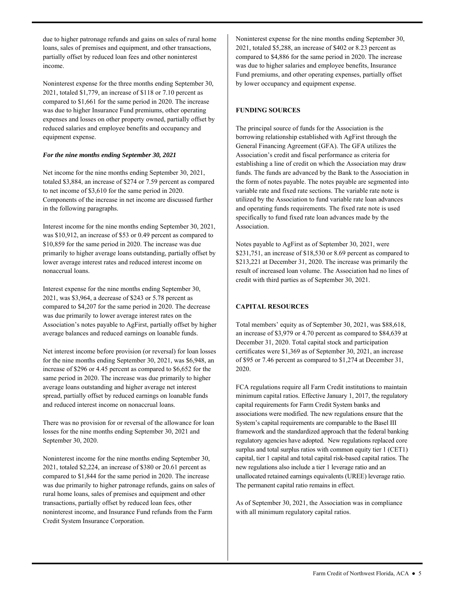partially offset by reduced loan fees and other noninterest due to higher patronage refunds and gains on sales of rural home loans, sales of premises and equipment, and other transactions, income.

Noninterest expense for the three months ending September 30, 2021, totaled \$1,779, an increase of \$118 or 7.10 percent as compared to \$1,661 for the same period in 2020. The increase was due to higher Insurance Fund premiums, other operating expenses and losses on other property owned, partially offset by reduced salaries and employee benefits and occupancy and equipment expense.

### *For the nine months ending September 30, 2021*

Net income for the nine months ending September 30, 2021, totaled \$3,884, an increase of \$274 or 7.59 percent as compared to net income of \$3,610 for the same period in 2020. Components of the increase in net income are discussed further in the following paragraphs.

 was \$10,912, an increase of \$53 or 0.49 percent as compared to nonaccrual loans. Interest income for the nine months ending September 30, 2021, \$10,859 for the same period in 2020. The increase was due primarily to higher average loans outstanding, partially offset by lower average interest rates and reduced interest income on

 was due primarily to lower average interest rates on the Interest expense for the nine months ending September 30, 2021, was \$3,964, a decrease of \$243 or 5.78 percent as compared to \$4,207 for the same period in 2020. The decrease Association's notes payable to AgFirst, partially offset by higher average balances and reduced earnings on loanable funds.

 average loans outstanding and higher average net interest and reduced interest income on nonaccrual loans. Net interest income before provision (or reversal) for loan losses for the nine months ending September 30, 2021, was \$6,948, an increase of \$296 or 4.45 percent as compared to \$6,652 for the same period in 2020. The increase was due primarily to higher spread, partially offset by reduced earnings on loanable funds

There was no provision for or reversal of the allowance for loan losses for the nine months ending September 30, 2021 and September 30, 2020.

Noninterest income for the nine months ending September 30, 2021, totaled \$2,224, an increase of \$380 or 20.61 percent as compared to \$1,844 for the same period in 2020. The increase was due primarily to higher patronage refunds, gains on sales of rural home loans, sales of premises and equipment and other transactions, partially offset by reduced loan fees, other noninterest income, and Insurance Fund refunds from the Farm Credit System Insurance Corporation.

 was due to higher salaries and employee benefits, Insurance Noninterest expense for the nine months ending September 30, 2021, totaled \$5,288, an increase of \$402 or 8.23 percent as compared to \$4,886 for the same period in 2020. The increase Fund premiums, and other operating expenses, partially offset by lower occupancy and equipment expense.

# **FUNDING SOURCES**

 the form of notes payable. The notes payable are segmented into variable rate and fixed rate sections. The variable rate note is The principal source of funds for the Association is the borrowing relationship established with AgFirst through the General Financing Agreement (GFA). The GFA utilizes the Association's credit and fiscal performance as criteria for establishing a line of credit on which the Association may draw funds. The funds are advanced by the Bank to the Association in utilized by the Association to fund variable rate loan advances and operating funds requirements. The fixed rate note is used specifically to fund fixed rate loan advances made by the Association.

 Notes payable to AgFirst as of September 30, 2021, were \$231,751, an increase of \$18,530 or 8.69 percent as compared to \$213,221 at December 31, 2020. The increase was primarily the result of increased loan volume. The Association had no lines of credit with third parties as of September 30, 2021.

# **CAPITAL RESOURCES**

Total members' equity as of September 30, 2021, was \$88,618, an increase of \$3,979 or 4.70 percent as compared to \$84,639 at December 31, 2020. Total capital stock and participation certificates were \$1,369 as of September 30, 2021, an increase of \$95 or 7.46 percent as compared to \$1,274 at December 31, 2020.

 minimum capital ratios. Effective January 1, 2017, the regulatory unallocated retained earnings equivalents (UREE) leverage ratio. FCA regulations require all Farm Credit institutions to maintain capital requirements for Farm Credit System banks and associations were modified. The new regulations ensure that the System's capital requirements are comparable to the Basel III framework and the standardized approach that the federal banking regulatory agencies have adopted. New regulations replaced core surplus and total surplus ratios with common equity tier 1 (CET1) capital, tier 1 capital and total capital risk-based capital ratios. The new regulations also include a tier 1 leverage ratio and an The permanent capital ratio remains in effect.

 with all minimum regulatory capital ratios. As of September 30, 2021, the Association was in compliance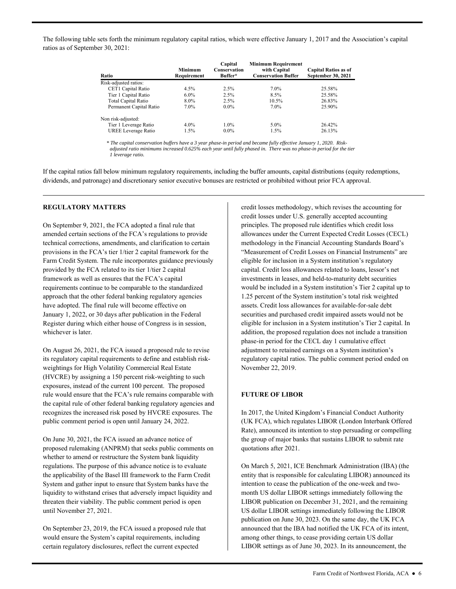The following table sets forth the minimum regulatory capital ratios, which were effective January 1, 2017 and the Association's capital ratios as of September 30, 2021:

| Ratio                   | <b>Minimum</b><br>Requirement | Capital<br>Conservation<br>Buffer* | <b>Minimum Requirement</b><br>with Capital<br><b>Conservation Buffer</b> | <b>Capital Ratios as of</b><br><b>September 30, 2021</b> |
|-------------------------|-------------------------------|------------------------------------|--------------------------------------------------------------------------|----------------------------------------------------------|
| Risk-adjusted ratios:   |                               |                                    |                                                                          |                                                          |
| CET1 Capital Ratio      | $4.5\%$                       | $2.5\%$                            | 7.0%                                                                     | 25.58%                                                   |
| Tier 1 Capital Ratio    | $6.0\%$                       | 2.5%                               | 8.5%                                                                     | 25.58%                                                   |
| Total Capital Ratio     | 8.0%                          | 2.5%                               | 10.5%                                                                    | 26.83%                                                   |
| Permanent Capital Ratio | $7.0\%$                       | $0.0\%$                            | 7.0%                                                                     | 25.90%                                                   |
| Non risk-adjusted:      |                               |                                    |                                                                          |                                                          |
| Tier 1 Leverage Ratio   | $4.0\%$                       | $1.0\%$                            | 5.0%                                                                     | 26.42%                                                   |
| UREE Leverage Ratio     | 1.5%                          | $0.0\%$                            | $1.5\%$                                                                  | 26.13%                                                   |
|                         |                               |                                    |                                                                          |                                                          |

 *adjusted ratio minimums increased 0.625% each year until fully phased in. There was no phase-in period for the tier \* The capital conservation buffers have a 3 year phase-in period and became fully effective January 1, 2020. Risk-1 leverage ratio.* 

 If the capital ratios fall below minimum regulatory requirements, including the buffer amounts, capital distributions (equity redemptions, dividends, and patronage) and discretionary senior executive bonuses are restricted or prohibited without prior FCA approval.

### **REGULATORY MATTERS**

 Register during which either house of Congress is in session, On September 9, 2021, the FCA adopted a final rule that amended certain sections of the FCA's regulations to provide technical corrections, amendments, and clarification to certain provisions in the FCA's tier 1/tier 2 capital framework for the Farm Credit System. The rule incorporates guidance previously provided by the FCA related to its tier 1/tier 2 capital framework as well as ensures that the FCA's capital requirements continue to be comparable to the standardized approach that the other federal banking regulatory agencies have adopted. The final rule will become effective on January 1, 2022, or 30 days after publication in the Federal whichever is later.

 its regulatory capital requirements to define and establish risk- rule would ensure that the FCA's rule remains comparable with On August 26, 2021, the FCA issued a proposed rule to revise weightings for High Volatility Commercial Real Estate (HVCRE) by assigning a 150 percent risk-weighting to such exposures, instead of the current 100 percent. The proposed the capital rule of other federal banking regulatory agencies and recognizes the increased risk posed by HVCRE exposures. The public comment period is open until January 24, 2022.

 the applicability of the Basel III framework to the Farm Credit On June 30, 2021, the FCA issued an advance notice of proposed rulemaking (ANPRM) that seeks public comments on whether to amend or restructure the System bank liquidity regulations. The purpose of this advance notice is to evaluate System and gather input to ensure that System banks have the liquidity to withstand crises that adversely impact liquidity and threaten their viability. The public comment period is open until November 27, 2021.

On September 23, 2019, the FCA issued a proposed rule that would ensure the System's capital requirements, including certain regulatory disclosures, reflect the current expected

 credit losses under U.S. generally accepted accounting principles. The proposed rule identifies which credit loss allowances under the Current Expected Credit Losses (CECL) "Measurement of Credit Losses on Financial Instruments" are capital. Credit loss allowances related to loans, lessor's net credit losses methodology, which revises the accounting for methodology in the Financial Accounting Standards Board's eligible for inclusion in a System institution's regulatory investments in leases, and held-to-maturity debt securities would be included in a System institution's Tier 2 capital up to 1.25 percent of the System institution's total risk weighted assets. Credit loss allowances for available-for-sale debt securities and purchased credit impaired assets would not be eligible for inclusion in a System institution's Tier 2 capital. In addition, the proposed regulation does not include a transition phase-in period for the CECL day 1 cumulative effect adjustment to retained earnings on a System institution's regulatory capital ratios. The public comment period ended on November 22, 2019.

### **FUTURE OF LIBOR**

In 2017, the United Kingdom's Financial Conduct Authority (UK FCA), which regulates LIBOR (London Interbank Offered Rate), announced its intention to stop persuading or compelling the group of major banks that sustains LIBOR to submit rate quotations after 2021.

On March 5, 2021, ICE Benchmark Administration (IBA) (the entity that is responsible for calculating LIBOR) announced its intention to cease the publication of the one-week and twomonth US dollar LIBOR settings immediately following the LIBOR publication on December 31, 2021, and the remaining US dollar LIBOR settings immediately following the LIBOR publication on June 30, 2023. On the same day, the UK FCA announced that the IBA had notified the UK FCA of its intent, among other things, to cease providing certain US dollar LIBOR settings as of June 30, 2023. In its announcement, the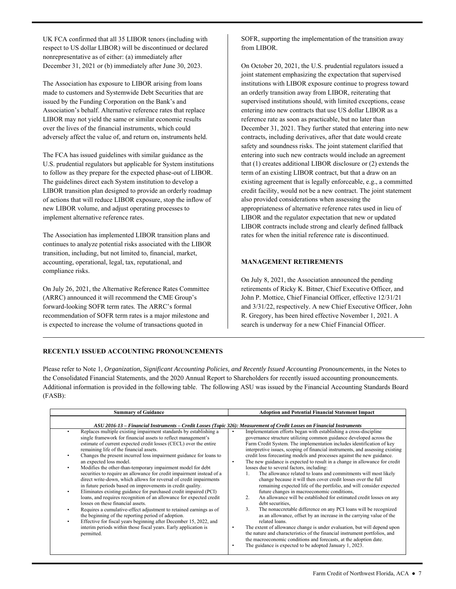respect to US dollar LIBOR) will be discontinued or declared UK FCA confirmed that all 35 LIBOR tenors (including with nonrepresentative as of either: (a) immediately after December 31, 2021 or (b) immediately after June 30, 2023.

 made to customers and Systemwide Debt Securities that are Association's behalf. Alternative reference rates that replace adversely affect the value of, and return on, instruments held. The Association has exposure to LIBOR arising from loans issued by the Funding Corporation on the Bank's and LIBOR may not yield the same or similar economic results over the lives of the financial instruments, which could

 The guidelines direct each System institution to develop a LIBOR transition plan designed to provide an orderly roadmap implement alternative reference rates. The FCA has issued guidelines with similar guidance as the U.S. prudential regulators but applicable for System institutions to follow as they prepare for the expected phase-out of LIBOR. of actions that will reduce LIBOR exposure, stop the inflow of new LIBOR volume, and adjust operating processes to

 transition, including, but not limited to, financial, market, The Association has implemented LIBOR transition plans and continues to analyze potential risks associated with the LIBOR accounting, operational, legal, tax, reputational, and compliance risks.

On July 26, 2021, the Alternative Reference Rates Committee (ARRC) announced it will recommend the CME Group's forward-looking SOFR term rates. The ARRC's formal recommendation of SOFR term rates is a major milestone and is expected to increase the volume of transactions quoted in

SOFR, supporting the implementation of the transition away from LIBOR.

 entering into new contracts that use US dollar LIBOR as a term of an existing LIBOR contract, but that a draw on an existing agreement that is legally enforceable, e.g., a committed credit facility, would not be a new contract. The joint statement appropriateness of alternative reference rates used in lieu of LIBOR and the regulator expectation that new or updated rates for when the initial reference rate is discontinued. On October 20, 2021, the U.S. prudential regulators issued a joint statement emphasizing the expectation that supervised institutions with LIBOR exposure continue to progress toward an orderly transition away from LIBOR, reiterating that supervised institutions should, with limited exceptions, cease reference rate as soon as practicable, but no later than December 31, 2021. They further stated that entering into new contracts, including derivatives, after that date would create safety and soundness risks. The joint statement clarified that entering into such new contracts would include an agreement that (1) creates additional LIBOR disclosure or (2) extends the also provided considerations when assessing the LIBOR contracts include strong and clearly defined fallback

# **MANAGEMENT RETIREMENTS**

On July 8, 2021, the Association announced the pending retirements of Ricky K. Bitner, Chief Executive Officer, and John P. Mottice, Chief Financial Officer, effective 12/31/21 and 3/31/22, respectively. A new Chief Executive Officer, John R. Gregory, has been hired effective November 1, 2021. A search is underway for a new Chief Financial Officer.

# **RECENTLY ISSUED ACCOUNTING PRONOUNCEMENTS**

 Please refer to Note 1, *Organization, Significant Accounting Policies, and Recently Issued Accounting Pronouncements*, in the Notes to the Consolidated Financial Statements, and the 2020 Annual Report to Shareholders for recently issued accounting pronouncements. Additional information is provided in the following table. The following ASU was issued by the Financial Accounting Standards Board (FASB):

| <b>Summary of Guidance</b>                                                                                                                                                                                                                                                                                                                                                                                                                                                                                                                                                                                                                                | <b>Adoption and Potential Financial Statement Impact</b>                                                                                                                                                                                                                                                                                                                                                                                                                                                                                                                       |
|-----------------------------------------------------------------------------------------------------------------------------------------------------------------------------------------------------------------------------------------------------------------------------------------------------------------------------------------------------------------------------------------------------------------------------------------------------------------------------------------------------------------------------------------------------------------------------------------------------------------------------------------------------------|--------------------------------------------------------------------------------------------------------------------------------------------------------------------------------------------------------------------------------------------------------------------------------------------------------------------------------------------------------------------------------------------------------------------------------------------------------------------------------------------------------------------------------------------------------------------------------|
| ASU 2016-13 – Financial Instruments – Credit Losses (Topic 326): Measurement of Credit Losses on Financial Instruments                                                                                                                                                                                                                                                                                                                                                                                                                                                                                                                                    |                                                                                                                                                                                                                                                                                                                                                                                                                                                                                                                                                                                |
| Replaces multiple existing impairment standards by establishing a<br>single framework for financial assets to reflect management's<br>estimate of current expected credit losses (CECL) over the entire<br>remaining life of the financial assets.                                                                                                                                                                                                                                                                                                                                                                                                        | Implementation efforts began with establishing a cross-discipline<br>governance structure utilizing common guidance developed across the<br>Farm Credit System. The implementation includes identification of key<br>interpretive issues, scoping of financial instruments, and assessing existing                                                                                                                                                                                                                                                                             |
| Changes the present incurred loss impairment guidance for loans to<br>an expected loss model.                                                                                                                                                                                                                                                                                                                                                                                                                                                                                                                                                             | credit loss forecasting models and processes against the new guidance.<br>The new guidance is expected to result in a change in allowance for credit<br>$\bullet$                                                                                                                                                                                                                                                                                                                                                                                                              |
| Modifies the other-than-temporary impairment model for debt<br>securities to require an allowance for credit impairment instead of a<br>direct write-down, which allows for reversal of credit impairments<br>in future periods based on improvements in credit quality.<br>Eliminates existing guidance for purchased credit impaired (PCI)<br>loans, and requires recognition of an allowance for expected credit<br>losses on these financial assets.<br>Requires a cumulative-effect adjustment to retained earnings as of<br>the beginning of the reporting period of adoption.<br>Effective for fiscal years beginning after December 15, 2022, and | losses due to several factors, including:<br>The allowance related to loans and commitments will most likely<br>1.<br>change because it will then cover credit losses over the full<br>remaining expected life of the portfolio, and will consider expected<br>future changes in macroeconomic conditions,<br>An allowance will be established for estimated credit losses on any<br>2.<br>debt securities.<br>3.<br>The nonaccretable difference on any PCI loans will be recognized<br>as an allowance, offset by an increase in the carrying value of the<br>related loans. |
| interim periods within those fiscal years. Early application is<br>permitted.                                                                                                                                                                                                                                                                                                                                                                                                                                                                                                                                                                             | The extent of allowance change is under evaluation, but will depend upon<br>the nature and characteristics of the financial instrument portfolios, and<br>the macroeconomic conditions and forecasts, at the adoption date.<br>The guidance is expected to be adopted January 1, 2023.                                                                                                                                                                                                                                                                                         |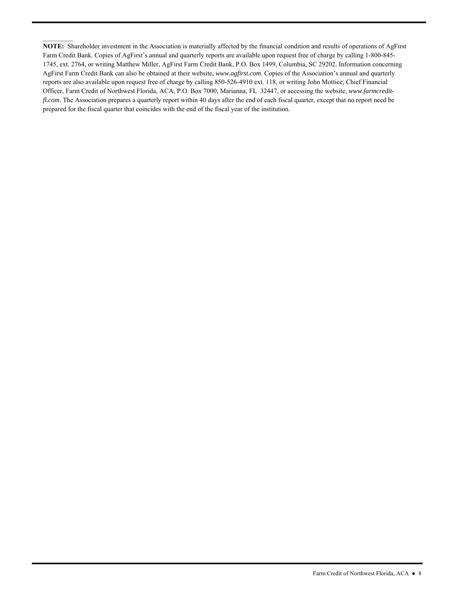*fl.com*. The Association prepares a quarterly report within 40 days after the end of each fiscal quarter, except that no report need be prepared for the fiscal quarter that coincides with the end of the fiscal year of the institution. **NOTE:** Shareholder investment in the Association is materially affected by the financial condition and results of operations of AgFirst Farm Credit Bank. Copies of AgFirst's annual and quarterly reports are available upon request free of charge by calling 1-800-845- 1745, ext. 2764, or writing Matthew Miller, AgFirst Farm Credit Bank, P.O. Box 1499, Columbia, SC 29202. Information concerning AgFirst Farm Credit Bank can also be obtained at their website, *<www.agfirst.com>*. Copies of the Association's annual and quarterly reports are also available upon request free of charge by calling 850-526-4910 ext. 118, or writing John Mottice, Chief Financial Officer, Farm Credit of Northwest Florida, ACA, P.O. Box 7000, Marianna, FL 32447, or accessing the website, *[www.farmcredit-](www.farmcredit)*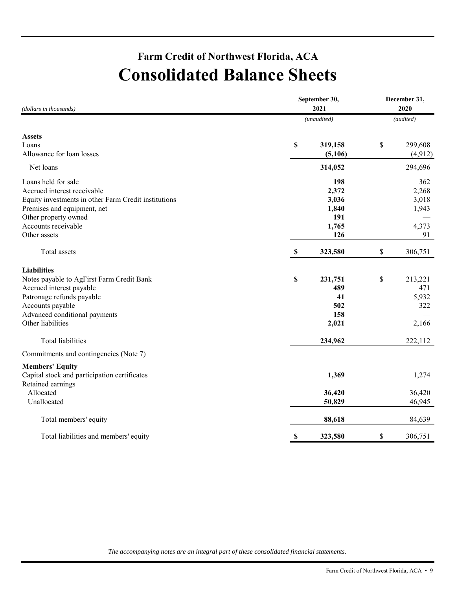# **Farm Credit of Northwest Florida, ACA Consolidated Balance Sheets**

| (dollars in thousands)                               | September 30, | December 31,<br>2020 |               |
|------------------------------------------------------|---------------|----------------------|---------------|
|                                                      |               | (unaudited)          | (audited)     |
| <b>Assets</b>                                        |               |                      |               |
| Loans                                                | \$            | 319,158              | \$<br>299,608 |
| Allowance for loan losses                            |               | (5,106)              | (4, 912)      |
| Net loans                                            |               | 314,052              | 294,696       |
| Loans held for sale                                  |               | 198                  | 362           |
| Accrued interest receivable                          |               | 2,372                | 2,268         |
| Equity investments in other Farm Credit institutions |               | 3,036                | 3,018         |
| Premises and equipment, net                          |               | 1,840                | 1,943         |
| Other property owned                                 |               | 191                  |               |
| Accounts receivable                                  |               | 1,765                | 4,373         |
| Other assets                                         |               | 126                  | 91            |
| Total assets                                         | S             | 323,580              | \$<br>306,751 |
| <b>Liabilities</b>                                   |               |                      |               |
| Notes payable to AgFirst Farm Credit Bank            | \$            | 231,751              | \$<br>213,221 |
| Accrued interest payable                             |               | 489                  | 471           |
| Patronage refunds payable                            |               | 41                   | 5,932         |
| Accounts payable                                     |               | 502                  | 322           |
| Advanced conditional payments                        |               | 158                  |               |
| Other liabilities                                    |               | 2,021                | 2,166         |
| Total liabilities                                    |               | 234,962              | 222,112       |
| Commitments and contingencies (Note 7)               |               |                      |               |
| <b>Members' Equity</b>                               |               |                      |               |
| Capital stock and participation certificates         |               | 1,369                | 1,274         |
| Retained earnings                                    |               |                      |               |
| Allocated                                            |               | 36,420               | 36,420        |
| Unallocated                                          |               | 50,829               | 46,945        |
| Total members' equity                                |               | 88,618               | 84,639        |
| Total liabilities and members' equity                | \$            | 323,580              | \$<br>306,751 |

*The accompanying notes are an integral part of these consolidated financial statements.*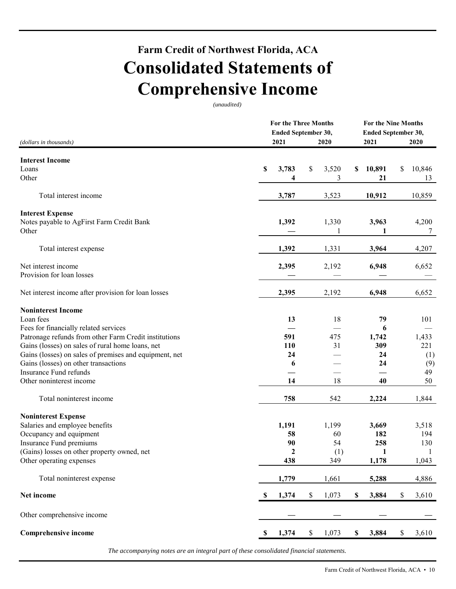# **Farm Credit of Northwest Florida, ACA Consolidated Statements of Comprehensive Income**

*(unaudited)* 

|                                                        |    | <b>For the Three Months</b><br>Ended September 30, |      | <b>For the Nine Months</b><br>Ended September 30, |    |        |      |        |  |
|--------------------------------------------------------|----|----------------------------------------------------|------|---------------------------------------------------|----|--------|------|--------|--|
| (dollars in thousands)                                 |    | 2021                                               |      | 2020                                              |    | 2021   |      | 2020   |  |
| <b>Interest Income</b>                                 |    |                                                    |      |                                                   |    |        |      |        |  |
| Loans                                                  | \$ | 3,783                                              | \$   | 3,520                                             | \$ | 10,891 | \$   | 10,846 |  |
| Other                                                  |    | 4                                                  |      | 3                                                 |    | 21     |      | 13     |  |
| Total interest income                                  |    | 3,787                                              |      | 3,523                                             |    | 10,912 |      | 10,859 |  |
| <b>Interest Expense</b>                                |    |                                                    |      |                                                   |    |        |      |        |  |
| Notes payable to AgFirst Farm Credit Bank              |    | 1,392                                              |      | 1,330                                             |    | 3,963  |      | 4,200  |  |
| Other                                                  |    |                                                    |      | 1                                                 |    | 1      |      | 7      |  |
| Total interest expense                                 |    | 1,392                                              |      | 1,331                                             |    | 3,964  |      | 4,207  |  |
| Net interest income                                    |    | 2,395                                              |      | 2,192                                             |    | 6,948  |      | 6,652  |  |
| Provision for loan losses                              |    |                                                    |      |                                                   |    |        |      |        |  |
| Net interest income after provision for loan losses    |    | 2,395                                              |      | 2,192                                             |    | 6,948  |      | 6,652  |  |
| <b>Noninterest Income</b>                              |    |                                                    |      |                                                   |    |        |      |        |  |
| Loan fees                                              |    | 13                                                 |      | 18                                                |    | 79     |      | 101    |  |
| Fees for financially related services                  |    |                                                    |      |                                                   |    | 6      |      |        |  |
| Patronage refunds from other Farm Credit institutions  |    | 591                                                |      | 475                                               |    | 1,742  |      | 1,433  |  |
| Gains (losses) on sales of rural home loans, net       |    | <b>110</b>                                         |      | 31                                                |    | 309    |      | 221    |  |
| Gains (losses) on sales of premises and equipment, net |    | 24                                                 |      |                                                   |    | 24     |      | (1)    |  |
| Gains (losses) on other transactions                   |    | 6                                                  |      |                                                   |    | 24     |      | (9)    |  |
| Insurance Fund refunds                                 |    |                                                    |      |                                                   |    |        |      | 49     |  |
| Other noninterest income                               |    | 14                                                 |      | 18                                                |    | 40     |      | 50     |  |
| Total noninterest income                               |    | 758                                                |      | 542                                               |    | 2,224  |      | 1,844  |  |
| <b>Noninterest Expense</b>                             |    |                                                    |      |                                                   |    |        |      |        |  |
| Salaries and employee benefits                         |    | 1,191                                              |      | 1,199                                             |    | 3,669  |      | 3,518  |  |
| Occupancy and equipment                                |    | 58                                                 |      | 60                                                |    | 182    |      | 194    |  |
| Insurance Fund premiums                                |    | 90                                                 |      | 54                                                |    | 258    |      | 130    |  |
| (Gains) losses on other property owned, net            |    | 2                                                  |      | (1)                                               |    |        |      |        |  |
| Other operating expenses                               |    | 438                                                |      | 349                                               |    | 1,178  |      | 1,043  |  |
| Total noninterest expense                              |    | 1,779                                              |      | 1,661                                             |    | 5,288  |      | 4,886  |  |
| Net income                                             | S  | 1,374                                              | $\$$ | 1,073                                             | \$ | 3,884  | \$   | 3,610  |  |
| Other comprehensive income                             |    |                                                    |      |                                                   |    |        |      |        |  |
| <b>Comprehensive income</b>                            | \$ | 1,374                                              | $\$$ | 1,073                                             | \$ | 3,884  | $\$$ | 3,610  |  |

*The accompanying notes are an integral part of these consolidated financial statements.*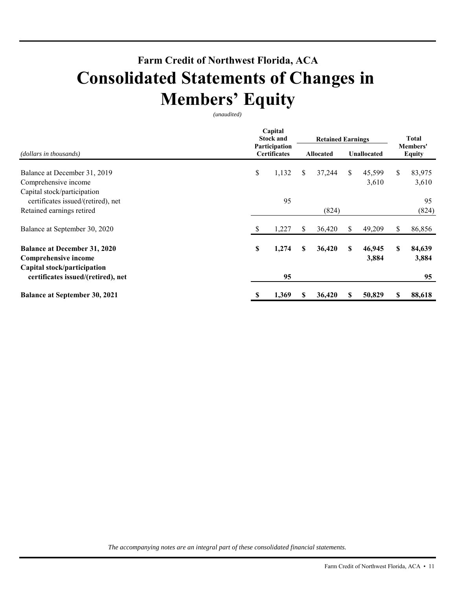# **Farm Credit of Northwest Florida, ACA Consolidated Statements of Changes in Members' Equity**

*(unaudited)* 

|                                      | Capital<br><b>Stock and</b> |                                      | <b>Retained Earnings</b> |                  |    | Total              |                           |        |  |
|--------------------------------------|-----------------------------|--------------------------------------|--------------------------|------------------|----|--------------------|---------------------------|--------|--|
| (dollars in thousands)               |                             | Participation<br><b>Certificates</b> |                          | <b>Allocated</b> |    | <b>Unallocated</b> | Members'<br><b>Equity</b> |        |  |
| Balance at December 31, 2019         | \$                          | 1,132                                | S.                       | 37,244           | \$ | 45,599             | \$                        | 83,975 |  |
| Comprehensive income                 |                             |                                      |                          |                  |    | 3,610              |                           | 3,610  |  |
| Capital stock/participation          |                             |                                      |                          |                  |    |                    |                           |        |  |
| certificates issued/(retired), net   |                             | 95                                   |                          |                  |    |                    |                           | 95     |  |
| Retained earnings retired            |                             |                                      |                          | (824)            |    |                    |                           | (824)  |  |
| Balance at September 30, 2020        |                             | 1,227                                | S                        | 36,420           | S  | 49,209             | \$                        | 86,856 |  |
| <b>Balance at December 31, 2020</b>  | \$                          | 1,274                                | S                        | 36,420           | S  | 46,945             | \$                        | 84,639 |  |
| Comprehensive income                 |                             |                                      |                          |                  |    | 3,884              |                           | 3,884  |  |
| Capital stock/participation          |                             |                                      |                          |                  |    |                    |                           |        |  |
| certificates issued/(retired), net   |                             | 95                                   |                          |                  |    |                    |                           | 95     |  |
| <b>Balance at September 30, 2021</b> | S                           | 1,369                                | S                        | 36,420           | S  | 50,829             | S                         | 88,618 |  |

*The accompanying notes are an integral part of these consolidated financial statements.*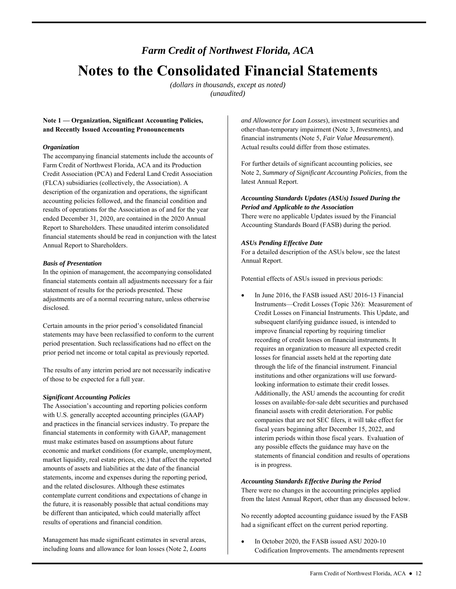# *Farm Credit of Northwest Florida, ACA*  **Notes to the Consolidated Financial Statements**

*(dollars in thousands, except as noted) (unaudited)* 

# **Note 1 — Organization, Significant Accounting Policies, and Recently Issued Accounting Pronouncements**

### *Organization*

The accompanying financial statements include the accounts of Farm Credit of Northwest Florida, ACA and its Production Credit Association (PCA) and Federal Land Credit Association (FLCA) subsidiaries (collectively, the Association). A description of the organization and operations, the significant accounting policies followed, and the financial condition and results of operations for the Association as of and for the year ended December 31, 2020, are contained in the 2020 Annual Report to Shareholders. These unaudited interim consolidated financial statements should be read in conjunction with the latest Annual Report to Shareholders.

### *Basis of Presentation*

In the opinion of management, the accompanying consolidated financial statements contain all adjustments necessary for a fair statement of results for the periods presented. These adjustments are of a normal recurring nature, unless otherwise disclosed.

Certain amounts in the prior period's consolidated financial statements may have been reclassified to conform to the current period presentation. Such reclassifications had no effect on the prior period net income or total capital as previously reported.

 The results of any interim period are not necessarily indicative of those to be expected for a full year.

# *Significant Accounting Policies*

 The Association's accounting and reporting policies conform financial statements in conformity with GAAP, management market liquidity, real estate prices, etc.) that affect the reported with U.S. generally accepted accounting principles (GAAP) and practices in the financial services industry. To prepare the must make estimates based on assumptions about future economic and market conditions (for example, unemployment, amounts of assets and liabilities at the date of the financial statements, income and expenses during the reporting period, and the related disclosures. Although these estimates contemplate current conditions and expectations of change in the future, it is reasonably possible that actual conditions may be different than anticipated, which could materially affect results of operations and financial condition.

 Management has made significant estimates in several areas, including loans and allowance for loan losses (Note 2, *Loans* 

 *and Allowance for Loan Losses*), investment securities and other-than-temporary impairment (Note 3, *Investments*), and financial instruments (Note 5, *Fair Value Measurement*). Actual results could differ from those estimates.

For further details of significant accounting policies, see Note 2, *Summary of Significant Accounting Policies*, from the latest Annual Report.

### *Accounting Standards Updates (ASUs) Issued During the Period and Applicable to the Association*

There were no applicable Updates issued by the Financial Accounting Standards Board (FASB) during the period.

# *ASUs Pending Effective Date*

 For a detailed description of the ASUs below, see the latest Annual Report.

Potential effects of ASUs issued in previous periods:

 subsequent clarifying guidance issued, is intended to companies that are not SEC filers, it will take effect for any possible effects the guidance may have on the In June 2016, the FASB issued ASU 2016-13 Financial Instruments—Credit Losses (Topic 326): Measurement of Credit Losses on Financial Instruments. This Update, and improve financial reporting by requiring timelier recording of credit losses on financial instruments. It requires an organization to measure all expected credit losses for financial assets held at the reporting date through the life of the financial instrument. Financial institutions and other organizations will use forwardlooking information to estimate their credit losses. Additionally, the ASU amends the accounting for credit losses on available-for-sale debt securities and purchased financial assets with credit deterioration. For public fiscal years beginning after December 15, 2022, and interim periods within those fiscal years. Evaluation of statements of financial condition and results of operations is in progress.

### *Accounting Standards Effective During the Period*

 There were no changes in the accounting principles applied from the latest Annual Report, other than any discussed below.

 No recently adopted accounting guidance issued by the FASB had a significant effect on the current period reporting.

 In October 2020, the FASB issued ASU 2020-10 Codification Improvements. The amendments represent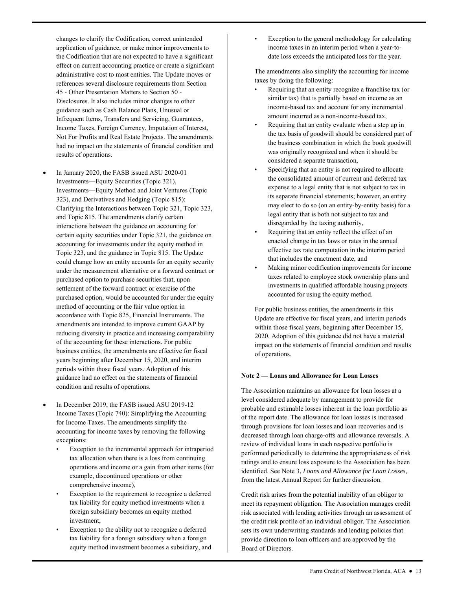the Codification that are not expected to have a significant effect on current accounting practice or create a significant references several disclosure requirements from Section Income Taxes, Foreign Currency, Imputation of Interest, Not For Profits and Real Estate Projects. The amendments changes to clarify the Codification, correct unintended application of guidance, or make minor improvements to administrative cost to most entities. The Update moves or 45 - Other Presentation Matters to Section 50 - Disclosures. It also includes minor changes to other guidance such as Cash Balance Plans, Unusual or Infrequent Items, Transfers and Servicing, Guarantees, had no impact on the statements of financial condition and results of operations.

- and Topic 815. The amendments clarify certain settlement of the forward contract or exercise of the purchased option, would be accounted for under the equity method of accounting or the fair value option in reducing diversity in practice and increasing comparability business entities, the amendments are effective for fiscal condition and results of operations. In January 2020, the FASB issued ASU 2020-01 Investments—Equity Securities (Topic 321), Investments—Equity Method and Joint Ventures (Topic 323), and Derivatives and Hedging (Topic 815): Clarifying the Interactions between Topic 321, Topic 323, interactions between the guidance on accounting for certain equity securities under Topic 321, the guidance on accounting for investments under the equity method in Topic 323, and the guidance in Topic 815. The Update could change how an entity accounts for an equity security under the measurement alternative or a forward contract or purchased option to purchase securities that, upon accordance with Topic 825, Financial Instruments. The amendments are intended to improve current GAAP by of the accounting for these interactions. For public years beginning after December 15, 2020, and interim periods within those fiscal years. Adoption of this guidance had no effect on the statements of financial
- In December 2019, the FASB issued ASU 2019-12 Income Taxes (Topic 740): Simplifying the Accounting for Income Taxes. The amendments simplify the accounting for income taxes by removing the following exceptions:
	- tax allocation when there is a loss from continuing Exception to the incremental approach for intraperiod operations and income or a gain from other items (for example, discontinued operations or other comprehensive income),
	- Exception to the requirement to recognize a deferred tax liability for equity method investments when a foreign subsidiary becomes an equity method investment,
	- Exception to the ability not to recognize a deferred tax liability for a foreign subsidiary when a foreign equity method investment becomes a subsidiary, and

 date loss exceeds the anticipated loss for the year. Exception to the general methodology for calculating income taxes in an interim period when a year-to-

The amendments also simplify the accounting for income taxes by doing the following:

- similar tax) that is partially based on income as an Requiring that an entity recognize a franchise tax (or income-based tax and account for any incremental amount incurred as a non-income-based tax,
- Requiring that an entity evaluate when a step up in the tax basis of goodwill should be considered part of the business combination in which the book goodwill was originally recognized and when it should be considered a separate transaction,
- • Specifying that an entity is not required to allocate its separate financial statements; however, an entity may elect to do so (on an entity-by-entity basis) for a legal entity that is both not subject to tax and the consolidated amount of current and deferred tax expense to a legal entity that is not subject to tax in disregarded by the taxing authority,
- enacted change in tax laws or rates in the annual Requiring that an entity reflect the effect of an effective tax rate computation in the interim period that includes the enactment date, and
- Making minor codification improvements for income taxes related to employee stock ownership plans and investments in qualified affordable housing projects accounted for using the equity method.

For public business entities, the amendments in this Update are effective for fiscal years, and interim periods within those fiscal years, beginning after December 15, 2020. Adoption of this guidance did not have a material impact on the statements of financial condition and results of operations.

### **Note 2 — Loans and Allowance for Loan Losses**

 The Association maintains an allowance for loan losses at a probable and estimable losses inherent in the loan portfolio as from the latest Annual Report for further discussion. level considered adequate by management to provide for of the report date. The allowance for loan losses is increased through provisions for loan losses and loan recoveries and is decreased through loan charge-offs and allowance reversals. A review of individual loans in each respective portfolio is performed periodically to determine the appropriateness of risk ratings and to ensure loss exposure to the Association has been identified. See Note 3, *Loans and Allowance for Loan Losses*,

 Credit risk arises from the potential inability of an obligor to meet its repayment obligation. The Association manages credit risk associated with lending activities through an assessment of the credit risk profile of an individual obligor. The Association sets its own underwriting standards and lending policies that provide direction to loan officers and are approved by the Board of Directors.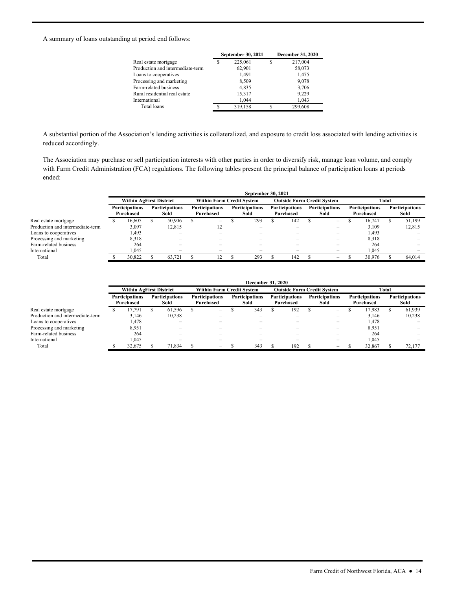A summary of loans outstanding at period end follows:

|                                  | September 30, 2021 |   | <b>December 31, 2020</b> |
|----------------------------------|--------------------|---|--------------------------|
| Real estate mortgage             | 225,061            | S | 217,004                  |
| Production and intermediate-term | 62.901             |   | 58,073                   |
| Loans to cooperatives            | 1.491              |   | 1,475                    |
| Processing and marketing         | 8,509              |   | 9,078                    |
| Farm-related business            | 4.835              |   | 3,706                    |
| Rural residential real estate    | 15,317             |   | 9,229                    |
| International                    | 1.044              |   | 1.043                    |
| Total loans                      | 319.158            |   | 299,608                  |
|                                  |                    |   |                          |

A substantial portion of the Association's lending activities is collateralized, and exposure to credit loss associated with lending activities is reduced accordingly.

 The Association may purchase or sell participation interests with other parties in order to diversify risk, manage loan volume, and comply with Farm Credit Administration (FCA) regulations. The following tables present the principal balance of participation loans at periods ended:

|                                  | <b>September 30, 2021</b>                                           |                         |  |        |                                    |                                  |                               |     |                                    |                                   |                               |                          |                                    |        |                               |        |  |
|----------------------------------|---------------------------------------------------------------------|-------------------------|--|--------|------------------------------------|----------------------------------|-------------------------------|-----|------------------------------------|-----------------------------------|-------------------------------|--------------------------|------------------------------------|--------|-------------------------------|--------|--|
|                                  |                                                                     | Within AgFirst District |  |        |                                    | <b>Within Farm Credit System</b> |                               |     |                                    | <b>Outside Farm Credit System</b> |                               |                          |                                    | Total  |                               |        |  |
|                                  | <b>Participations</b><br><b>Participations</b><br>Sold<br>Purchased |                         |  |        | <b>Participations</b><br>Purchased |                                  | <b>Participations</b><br>Sold |     | <b>Participations</b><br>Purchased |                                   | <b>Participations</b><br>Sold |                          | <b>Participations</b><br>Purchased |        | <b>Participations</b><br>Sold |        |  |
| Real estate mortgage             |                                                                     | 16.605                  |  | 50,906 |                                    | $\overline{\phantom{m}}$         |                               | 293 |                                    | 142                               |                               | $\overline{\phantom{0}}$ |                                    | 16.747 |                               | 51.199 |  |
| Production and intermediate-term |                                                                     | 3,097                   |  | 12.815 |                                    | 12                               |                               |     |                                    |                                   |                               | -                        |                                    | 3.109  |                               | 12,815 |  |
| Loans to cooperatives            |                                                                     | 1,493                   |  | -      |                                    |                                  |                               |     |                                    |                                   |                               | -                        |                                    | 1,493  |                               |        |  |
| Processing and marketing         |                                                                     | 8,318                   |  | -      |                                    | -                                |                               |     |                                    | $\overline{\phantom{0}}$          |                               | -                        |                                    | 8,318  |                               |        |  |
| Farm-related business            |                                                                     | 264                     |  |        |                                    |                                  |                               |     |                                    |                                   |                               |                          |                                    | 264    |                               |        |  |
| International                    |                                                                     | 1.045                   |  | -      |                                    |                                  |                               |     |                                    |                                   |                               | -                        |                                    | 1.045  |                               |        |  |
| Total                            |                                                                     | 30.822                  |  | 63.721 |                                    | $\bigcirc$                       |                               | 293 |                                    | 142                               |                               | $\overline{\phantom{0}}$ |                                    | 30.976 |                               | 64.014 |  |

|                                  |                                                             | <b>December 31, 2020</b> |                               |        |                                    |                          |  |     |                                   |                          |                               |                          |                                    |        |                               |        |                                    |  |                               |
|----------------------------------|-------------------------------------------------------------|--------------------------|-------------------------------|--------|------------------------------------|--------------------------|--|-----|-----------------------------------|--------------------------|-------------------------------|--------------------------|------------------------------------|--------|-------------------------------|--------|------------------------------------|--|-------------------------------|
|                                  | Within AgFirst District<br><b>Within Farm Credit System</b> |                          |                               |        |                                    |                          |  |     | <b>Outside Farm Credit System</b> |                          |                               |                          | Total                              |        |                               |        |                                    |  |                               |
|                                  | <b>Participations</b><br>Purchased                          |                          | <b>Participations</b><br>Sold |        | <b>Participations</b><br>Purchased |                          |  |     |                                   |                          | <b>Participations</b><br>Sold |                          | <b>Participations</b><br>Purchased |        | <b>Participations</b><br>Sold |        | <b>Participations</b><br>Purchased |  | <b>Participations</b><br>Sold |
| Real estate mortgage             |                                                             | 17.791                   |                               | 61.596 |                                    | $\overline{\phantom{m}}$ |  | 343 |                                   | 192                      |                               | $-$                      |                                    | 17.983 |                               | 61.939 |                                    |  |                               |
| Production and intermediate-term |                                                             | 3.146                    |                               | 10,238 |                                    |                          |  |     |                                   |                          |                               | $\overline{\phantom{0}}$ |                                    | 3.146  |                               | 10,238 |                                    |  |                               |
| Loans to cooperatives            |                                                             | 1,478                    |                               |        |                                    |                          |  |     |                                   |                          |                               | $\overline{\phantom{0}}$ |                                    | 1.478  |                               |        |                                    |  |                               |
| Processing and marketing         |                                                             | 8,951                    |                               |        |                                    |                          |  |     |                                   |                          |                               | -                        |                                    | 8,951  |                               |        |                                    |  |                               |
| Farm-related business            |                                                             | 264                      |                               |        |                                    |                          |  |     |                                   |                          |                               | -                        |                                    | 264    |                               |        |                                    |  |                               |
| International                    |                                                             | 1.045                    |                               | -      |                                    |                          |  | -   |                                   | $\overline{\phantom{0}}$ |                               | $\overline{\phantom{0}}$ |                                    | 1.045  |                               |        |                                    |  |                               |
| Total                            |                                                             | 32.675                   |                               | 71,834 |                                    | $\overline{\phantom{a}}$ |  | 343 |                                   | 192                      |                               | -                        |                                    | 32,867 |                               | 72,177 |                                    |  |                               |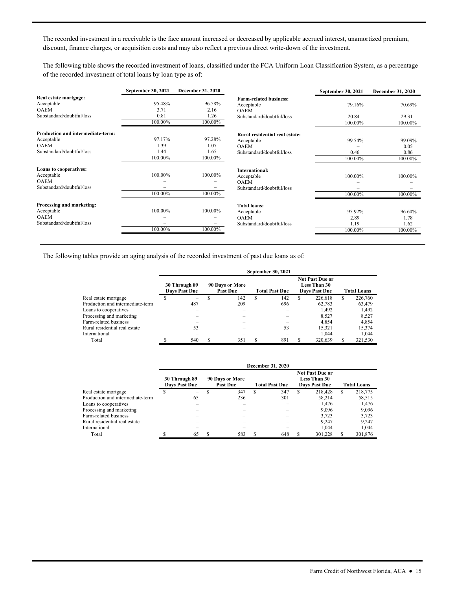discount, finance charges, or acquisition costs and may also reflect a previous direct write-down of the investment. The recorded investment in a receivable is the face amount increased or decreased by applicable accrued interest, unamortized premium,

The following table shows the recorded investment of loans, classified under the FCA Uniform Loan Classification System, as a percentage of the recorded investment of total loans by loan type as of:

|                                   | September 30, 2021 | December 31, 2020 |                                | September 30, 2021 | <b>December 31, 2020</b> |
|-----------------------------------|--------------------|-------------------|--------------------------------|--------------------|--------------------------|
| Real estate mortgage:             |                    |                   | <b>Farm-related business:</b>  |                    |                          |
| Acceptable                        | 95.48%             | 96.58%            | Acceptable                     | 79.16%             | 70.69%                   |
| <b>OAEM</b>                       | 3.71               | 2.16              | <b>OAEM</b>                    |                    |                          |
| Substandard/doubtful/loss         | 0.81               | 1.26              | Substandard/doubtful/loss      | 20.84              | 29.31                    |
|                                   | 100.00%            | 100.00%           |                                | 100.00%            | 100.00%                  |
| Production and intermediate-term: |                    |                   | Rural residential real estate: |                    |                          |
| Acceptable                        | 97.17%             | 97.28%            | Acceptable                     | 99.54%             | 99.09%                   |
| <b>OAEM</b>                       | 1.39               | 1.07              | <b>OAEM</b>                    |                    | 0.05                     |
| Substandard/doubtful/loss         | 1.44               | 1.65              | Substandard/doubtful/loss      | 0.46               | 0.86                     |
|                                   | 100.00%            | 100.00%           |                                | 100.00%            | 100.00%                  |
| Loans to cooperatives:            |                    |                   | International:                 |                    |                          |
| Acceptable                        | 100.00%            | 100.00%           | Acceptable                     | 100.00%            | 100.00%                  |
| <b>OAEM</b>                       |                    |                   | <b>OAEM</b>                    |                    |                          |
| Substandard/doubtful/loss         |                    |                   | Substandard/doubtful/loss      |                    |                          |
|                                   | 100.00%            | 100.00%           |                                | 100.00%            | 100.00%                  |
| Processing and marketing:         |                    |                   | <b>Total loans:</b>            |                    |                          |
| Acceptable                        | 100.00%            | 100.00%           | Acceptable                     | 95.92%             | 96.60%                   |
| <b>OAEM</b>                       |                    |                   | <b>OAEM</b>                    | 2.89               | 1.78                     |
| Substandard/doubtful/loss         | -                  |                   | Substandard/doubtful/loss      | 1.19               | 1.62                     |
|                                   | 100.00%            | 100.00%           |                                | 100.00%            | 100.00%                  |

The following tables provide an aging analysis of the recorded investment of past due loans as of:

|                                  |                                       |                                    |   | September 30, 2021    |                                                                       |                    |         |  |
|----------------------------------|---------------------------------------|------------------------------------|---|-----------------------|-----------------------------------------------------------------------|--------------------|---------|--|
|                                  | 30 Through 89<br><b>Davs Past Due</b> | 90 Days or More<br><b>Past Due</b> |   | <b>Total Past Due</b> | <b>Not Past Due or</b><br><b>Less Than 30</b><br><b>Davs Past Due</b> | <b>Total Loans</b> |         |  |
| Real estate mortgage             |                                       | 142                                | S | 142                   | 226,618                                                               | S                  | 226,760 |  |
| Production and intermediate-term | 487                                   | 209                                |   | 696                   | 62,783                                                                |                    | 63,479  |  |
| Loans to cooperatives            |                                       |                                    |   |                       | 1.492                                                                 |                    | 1,492   |  |
| Processing and marketing         |                                       |                                    |   |                       | 8.527                                                                 |                    | 8,527   |  |
| Farm-related business            |                                       |                                    |   |                       | 4.854                                                                 |                    | 4,854   |  |
| Rural residential real estate    | 53                                    |                                    |   | 53                    | 15,321                                                                |                    | 15,374  |  |
| International                    |                                       |                                    |   |                       | 1.044                                                                 |                    | 1,044   |  |
| Total                            | 540                                   | 351                                |   | 891                   | 320,639                                                               |                    | 321.530 |  |

|                                  |                                       |    |   |                                    |   | December 31, 2020     |    |                                                                       |                    |         |
|----------------------------------|---------------------------------------|----|---|------------------------------------|---|-----------------------|----|-----------------------------------------------------------------------|--------------------|---------|
|                                  | 30 Through 89<br><b>Days Past Due</b> |    |   | 90 Days or More<br><b>Past Due</b> |   | <b>Total Past Due</b> |    | <b>Not Past Due or</b><br><b>Less Than 30</b><br><b>Days Past Due</b> | <b>Total Loans</b> |         |
| Real estate mortgage             |                                       | -  | S | 347                                | S | 347                   | S. | 218.428                                                               | S.                 | 218,775 |
| Production and intermediate-term |                                       | 65 |   | 236                                |   | 301                   |    | 58.214                                                                |                    | 58,515  |
| Loans to cooperatives            |                                       |    |   |                                    |   |                       |    | 1.476                                                                 |                    | 1,476   |
| Processing and marketing         |                                       |    |   |                                    |   |                       |    | 9.096                                                                 |                    | 9,096   |
| Farm-related business            |                                       |    |   |                                    |   |                       |    | 3.723                                                                 |                    | 3,723   |
| Rural residential real estate    |                                       |    |   |                                    |   |                       |    | 9.247                                                                 |                    | 9.247   |
| International                    |                                       |    |   |                                    |   |                       |    | 1.044                                                                 |                    | 1.044   |
| Total                            |                                       | 65 | х | 583                                |   | 648                   |    | 301.228                                                               |                    | 301,876 |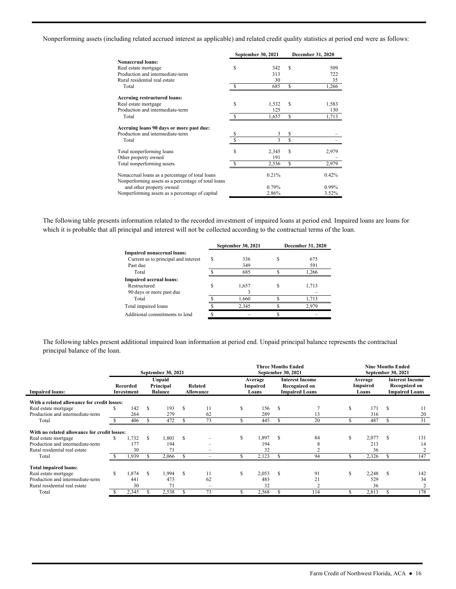Nonperforming assets (including related accrued interest as applicable) and related credit quality statistics at period end were as follows:

|                                                                                                        |    | <b>September 30, 2021</b> |    | December 31, 2020 |
|--------------------------------------------------------------------------------------------------------|----|---------------------------|----|-------------------|
| <b>Nonaccrual loans:</b>                                                                               |    |                           |    |                   |
| Real estate mortgage                                                                                   | S  | 342                       | S  | 509               |
| Production and intermediate-term                                                                       |    | 313                       |    | 722               |
| Rural residential real estate                                                                          |    | 30                        |    | 35                |
| Total                                                                                                  |    | 685                       | S  | 1,266             |
| <b>Accruing restructured loans:</b>                                                                    |    |                           |    |                   |
| Real estate mortgage                                                                                   | \$ | 1,532                     | S  | 1,583             |
| Production and intermediate-term                                                                       |    | 125                       |    | 130               |
| Total                                                                                                  |    | 1,657                     | S  | 1,713             |
| Accruing loans 90 days or more past due:                                                               |    |                           |    |                   |
| Production and intermediate-term                                                                       | S  | 3                         | \$ |                   |
| Total                                                                                                  |    | 3                         | Ŝ  |                   |
| Total nonperforming loans                                                                              | \$ | 2,345                     | S  | 2,979             |
| Other property owned                                                                                   |    | 191                       |    |                   |
| Total nonperforming assets                                                                             |    | 2,536                     | S  | 2,979             |
| Nonaccrual loans as a percentage of total loans<br>Nonperforming assets as a percentage of total loans |    | 0.21%                     |    | 0.42%             |
| and other property owned                                                                               |    | 0.79%                     |    | 0.99%             |
| Nonperforming assets as a percentage of capital                                                        |    | 2.86%                     |    | 3.52%             |

 which it is probable that all principal and interest will not be collected according to the contractual terms of the loan. The following table presents information related to the recorded investment of impaired loans at period end. Impaired loans are loans for

|                                      |   | September 30, 2021 | <b>December 31, 2020</b> |
|--------------------------------------|---|--------------------|--------------------------|
| Impaired nonaccrual loans:           |   |                    |                          |
| Current as to principal and interest | S | 336                | 675                      |
| Past due                             |   | 349                | 591                      |
| Total                                |   | 685                | 1,266                    |
| <b>Impaired accrual loans:</b>       |   |                    |                          |
| Restructured                         |   | 1,657              | 1,713                    |
| 90 days or more past due             |   |                    |                          |
| Total                                |   | 1,660              | 1.713                    |
| Total impaired loans                 |   | 2,345              | 2,979                    |
| Additional commitments to lend       |   |                    |                          |
|                                      |   |                    |                          |

The following tables present additional impaired loan information at period end. Unpaid principal balance represents the contractual principal balance of the loan.

|                                              |    |                        |   | September 30, 2021                    |     |                             |     | <b>Three Months Ended</b><br>September 30, 2021 |   |                                                                  |   | <b>Nine Months Ended</b><br>September 30, 2021 |     |                                                                         |
|----------------------------------------------|----|------------------------|---|---------------------------------------|-----|-----------------------------|-----|-------------------------------------------------|---|------------------------------------------------------------------|---|------------------------------------------------|-----|-------------------------------------------------------------------------|
| <b>Impaired loans:</b>                       |    | Recorded<br>Investment |   | Unpaid<br>Principal<br><b>Balance</b> |     | <b>Related</b><br>Allowance |     | Average<br>Impaired<br>Loans                    |   | <b>Interest Income</b><br>Recognized on<br><b>Impaired Loans</b> |   | Average<br>Impaired<br>Loans                   |     | <b>Interest Income</b><br><b>Recognized on</b><br><b>Impaired Loans</b> |
| With a related allowance for credit losses:  |    |                        |   |                                       |     |                             |     |                                                 |   |                                                                  |   |                                                |     |                                                                         |
| Real estate mortgage                         | S  | 142                    | S | 193                                   | \$. | 11                          | \$. | 156                                             | S |                                                                  | S | 171                                            | -S  | 11                                                                      |
| Production and intermediate-term             |    | 264                    |   | 279                                   |     | 62                          |     | 289                                             |   | 13                                                               |   | 316                                            |     | 20                                                                      |
| Total                                        |    | 406                    |   | 472                                   |     | 73                          |     | 445                                             |   | 20                                                               |   | 487                                            |     | 31                                                                      |
| With no related allowance for credit losses: |    |                        |   |                                       |     |                             |     |                                                 |   |                                                                  |   |                                                |     |                                                                         |
| Real estate mortgage                         | S  | 1,732                  | S | 1,801                                 | S   |                             | S   | 1,897                                           | S | 84                                                               | S | 2,077                                          | \$. | 131                                                                     |
| Production and intermediate-term             |    | 177                    |   | 194                                   |     |                             |     | 194                                             |   |                                                                  |   | 213                                            |     | 14                                                                      |
| Rural residential real estate                |    | 30                     |   | 71                                    |     |                             |     | 32                                              |   |                                                                  |   | 36                                             |     |                                                                         |
| Total                                        |    | 1,939                  |   | 2,066                                 |     |                             |     | 2,123                                           |   | 94                                                               |   | 2,326                                          |     | 147                                                                     |
| Total impaired loans:                        |    |                        |   |                                       |     |                             |     |                                                 |   |                                                                  |   |                                                |     |                                                                         |
| Real estate mortgage                         | S. | 1,874                  | S | 1,994                                 | S   | 11                          | S   | 2,053                                           | S | 91                                                               | S | 2,248                                          | -S  | 142                                                                     |
| Production and intermediate-term             |    | 441                    |   | 473                                   |     | 62                          |     | 483                                             |   | 21                                                               |   | 529                                            |     | 34                                                                      |
| Rural residential real estate                |    | 30                     |   | 71                                    |     | -                           |     | 32                                              |   |                                                                  |   | 36                                             |     | 2                                                                       |
| Total                                        |    | 2,345                  |   | 2,538                                 |     | 73                          |     | 2,568                                           |   | 114                                                              |   | 2,813                                          |     | 178                                                                     |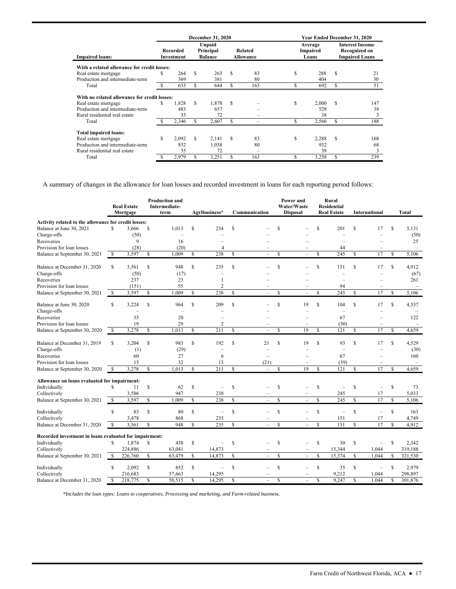|                                              |   |                        |     | December 31, 2020                     |    |                             | Year Ended December 31, 2020 |                              |     |                                                                  |  |  |
|----------------------------------------------|---|------------------------|-----|---------------------------------------|----|-----------------------------|------------------------------|------------------------------|-----|------------------------------------------------------------------|--|--|
| <b>Impaired loans:</b>                       |   | Recorded<br>Investment |     | Unpaid<br>Principal<br><b>Balance</b> |    | Related<br><b>Allowance</b> |                              | Average<br>Impaired<br>Loans |     | <b>Interest Income</b><br>Recognized on<br><b>Impaired Loans</b> |  |  |
| With a related allowance for credit losses:  |   |                        |     |                                       |    |                             |                              |                              |     |                                                                  |  |  |
| Real estate mortgage                         |   | 264                    | S   | 263                                   | S  | 83                          | S                            | 288                          | \$. | 21                                                               |  |  |
| Production and intermediate-term             |   | 369                    |     | 381                                   |    | 80                          |                              | 404                          |     | 30                                                               |  |  |
| Total                                        |   | 633                    | \$. | 644                                   | S  | 163                         |                              | 692                          | S   | 51                                                               |  |  |
| With no related allowance for credit losses: |   |                        |     |                                       |    |                             |                              |                              |     |                                                                  |  |  |
| Real estate mortgage                         | S | 1.828                  | S   | 1.878                                 | S  |                             | S                            | 2.000                        | S   | 147                                                              |  |  |
| Production and intermediate-term             |   | 483                    |     | 657                                   |    |                             |                              | 528                          |     | 38                                                               |  |  |
| Rural residential real estate                |   | 35                     |     | 72                                    |    |                             |                              | 38                           |     | 3                                                                |  |  |
| Total                                        |   | 2,346                  | S.  | 2,607                                 | \$ |                             |                              | 2,566                        | S   | 188                                                              |  |  |
| <b>Total impaired loans:</b>                 |   |                        |     |                                       |    |                             |                              |                              |     |                                                                  |  |  |
| Real estate mortgage                         | S | 2,092                  | £.  | 2,141                                 | S  | 83                          | S                            | 2,288                        | \$. | 168                                                              |  |  |
| Production and intermediate-term             |   | 852                    |     | 1,038                                 |    | 80                          |                              | 932                          |     | 68                                                               |  |  |
| Rural residential real estate                |   | 35                     |     | 72                                    |    |                             |                              | 38                           |     | 3                                                                |  |  |
| Total                                        |   | 2,979                  | S   | 3,251                                 | S  | 163                         | \$                           | 3,258                        | S   | 239                                                              |  |  |

A summary of changes in the allowance for loan losses and recorded investment in loans for each reporting period follows:

|                                                        |              | <b>Real Estate</b><br>Mortgage |               | <b>Production and</b><br>Intermediate-<br>term |              | Agribusiness*            |              | Communication            |               | Power and<br>Water/Waste<br><b>Disposal</b> |     | <b>Rural</b><br><b>Residential</b><br><b>Real Estate</b> |              | <b>International</b>     |              | <b>Total</b> |
|--------------------------------------------------------|--------------|--------------------------------|---------------|------------------------------------------------|--------------|--------------------------|--------------|--------------------------|---------------|---------------------------------------------|-----|----------------------------------------------------------|--------------|--------------------------|--------------|--------------|
| Activity related to the allowance for credit losses:   |              |                                |               |                                                |              |                          |              |                          |               |                                             |     |                                                          |              |                          |              |              |
| Balance at June 30, 2021                               | S            | 3,666                          | \$            | 1,013                                          | \$           | 234                      | \$           |                          | S             |                                             | \$  | 201                                                      | \$           | 17                       | \$           | 5,131        |
| Charge-offs                                            |              | (50)                           |               |                                                |              |                          |              |                          |               |                                             |     |                                                          |              |                          |              | (50)         |
| Recoveries                                             |              | 9                              |               | 16                                             |              |                          |              |                          |               |                                             |     | $\overline{\phantom{0}}$                                 |              |                          |              | 25           |
| Provision for loan losses                              |              | (28)                           |               | (20)                                           |              | $\overline{4}$           |              |                          |               |                                             |     | 44                                                       |              |                          |              |              |
| Balance at September 30, 2021                          | - \$         | 3,597                          | S             | 1.009                                          | \$           | 238                      | S            |                          | S             | $\equiv$                                    | \$. | 245                                                      | S            | 17                       | S            | 5,106        |
| Balance at December 31, 2020                           | S            | 3,561                          | <sup>\$</sup> | 948                                            | \$           | 235                      | \$           |                          | \$.           |                                             | Ŝ   | 151                                                      | S            | 17                       | S            | 4,912        |
| Charge-offs                                            |              | (50)                           |               | (17)                                           |              |                          |              |                          |               |                                             |     |                                                          |              |                          |              | (67)         |
| Recoveries                                             |              | 237                            |               | 23                                             |              | 1                        |              |                          |               |                                             |     | ÷                                                        |              |                          |              | 261          |
| Provision for loan losses                              |              | (151)                          |               | 55                                             |              | $\overline{2}$           |              |                          |               |                                             |     | 94                                                       |              |                          |              |              |
| Balance at September 30, 2021                          | \$           | 3,597                          | S             | 1,009                                          | \$           | 238                      | \$           | L                        | S             | $\overline{\phantom{0}}$                    | \$. | 245                                                      | S            | 17                       | S            | 5.106        |
| Balance at June 30, 2020                               | S            | 3,224                          | S             | 964                                            | S            | 209                      | S            |                          | S             | 19                                          | S   | 104                                                      | S            | 17                       | S            | 4,537        |
| Charge-offs                                            |              | $\qquad \qquad -$              |               | $\overline{\phantom{a}}$                       |              |                          |              |                          |               |                                             |     | $\overline{\phantom{0}}$                                 |              |                          |              |              |
| Recoveries                                             |              | 35                             |               | 20                                             |              |                          |              |                          |               |                                             |     | 67                                                       |              |                          |              | 122          |
| Provision for loan losses                              |              | 19                             |               | 29                                             |              | 2                        |              |                          |               |                                             |     | (50)                                                     |              |                          |              |              |
| Balance at September 30, 2020                          | \$           | 3,278                          | \$            | 1,013                                          | \$           | 211                      | S            | L.                       | $\mathcal{S}$ | 19                                          | \$. | 121                                                      | $\mathbb{S}$ | 17                       | S            | 4,659        |
| Balance at December 31, 2019                           | S            | 3,204                          | S             | 983                                            | \$           | 192                      | \$           | 21                       | \$            | 19                                          | \$  | 93                                                       | S            | 17                       | \$           | 4,529        |
| Charge-offs                                            |              | (1)                            |               | (29)                                           |              | $\overline{\phantom{0}}$ |              |                          |               |                                             |     | $\overline{\phantom{0}}$                                 |              |                          |              | (30)         |
| Recoveries                                             |              | 60                             |               | 27                                             |              | 6                        |              | $\overline{\phantom{a}}$ |               |                                             |     | 67                                                       |              |                          |              | 160          |
| Provision for loan losses                              |              | 15                             |               | 32                                             |              | 13                       |              | (21)                     |               |                                             |     | (39)                                                     |              |                          |              |              |
| Balance at September 30, 2020                          | \$           | 3,278                          | S             | 1.013                                          | \$.          | $\overline{211}$         | $\mathbf S$  |                          | \$.           | 19                                          | \$. | 121                                                      | \$.          | 17                       | $\mathbf S$  | 4,659        |
| Allowance on loans evaluated for impairment:           |              |                                |               |                                                |              |                          |              |                          |               |                                             |     |                                                          |              |                          |              |              |
| Individually                                           | \$           | 11                             | \$            | 62                                             | \$           |                          | \$           |                          | \$            |                                             | \$  | $\overline{\phantom{0}}$                                 | \$           | $\overline{\phantom{0}}$ | \$           | 73           |
| Collectively                                           |              | 3,586                          |               | 947                                            |              | 238                      |              |                          |               |                                             |     | 245                                                      |              | 17                       |              | 5,033        |
| Balance at September 30, 2021                          | $\mathbb{S}$ | 3,597                          | S             | 1.009                                          | $\mathbb{S}$ | 238                      | S            |                          | S             |                                             | S   | 245                                                      | S            | 17                       | S            | 5.106        |
| Individually                                           | \$           | 83                             | \$            | 80                                             | \$           | $\overline{\phantom{a}}$ | $\mathbb{S}$ |                          | \$            |                                             | \$  | $\overline{\phantom{a}}$                                 | $\mathbb{S}$ | $\equiv$                 | $\mathbf S$  | 163          |
| Collectively                                           |              | 3,478                          |               | 868                                            |              | 235                      |              |                          |               |                                             |     | 151                                                      |              | 17                       |              | 4,749        |
| Balance at December 31, 2020                           | \$           | 3,561                          | S             | 948                                            | \$           | 235                      | \$           |                          | S             |                                             | Ŝ   | 151                                                      | S            | 17                       | $\mathbb{S}$ | 4,912        |
| Recorded investment in loans evaluated for impairment: |              |                                |               |                                                |              |                          |              |                          |               |                                             |     |                                                          |              |                          |              |              |
| Individually                                           | S            | 1,874                          | \$            | 438                                            | \$           |                          | \$           |                          | \$            |                                             | \$  | 30                                                       | \$           |                          | \$           | 2,342        |
| Collectively                                           |              | 224,886                        |               | 63,041                                         |              | 14,873                   |              |                          |               |                                             |     | 15,344                                                   |              | 1,044                    |              | 319,188      |
| Balance at September 30, 2021                          | - \$         | 226,760                        | \$            | 63,479                                         | \$           | 14,873                   | \$           | $\overline{\phantom{0}}$ | \$            | $\overline{a}$                              | \$  | 15,374                                                   | \$           | 1,044                    | \$           | 321,530      |
| Individually                                           | S            | 2,092                          | <sup>\$</sup> | 852                                            | \$           |                          | \$           |                          | S             | $\overline{\phantom{0}}$                    | \$  | 35                                                       | S            | ÷.                       | S            | 2,979        |
| Collectively                                           |              | 216,683                        |               | 57,663                                         |              | 14,295                   |              |                          |               |                                             |     | 9,212                                                    |              | 1,044                    |              | 298,897      |
| Balance at December 31, 2020                           | \$           | 218,775                        | \$            | 58,515                                         | \$           | 14,295                   | S            |                          | $\mathbf S$   | $\overline{a}$                              | \$  | 9,247                                                    | \$           | 1,044                    | \$           | 301,876      |

*\*Includes the loan types: Loans to cooperatives, Processing and marketing, and Farm-related business.*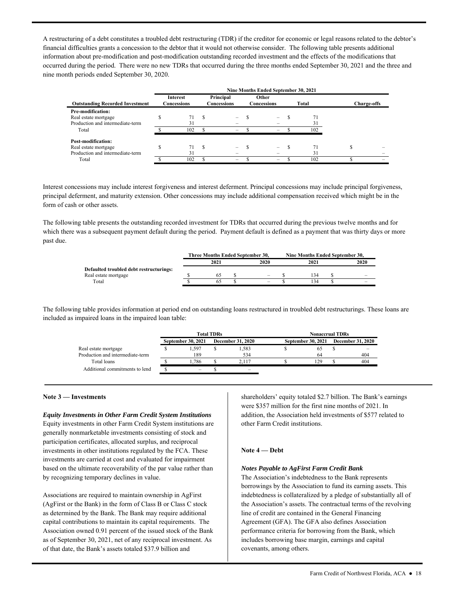information about pre-modification and post-modification outstanding recorded investment and the effects of the modifications that occurred during the period. There were no new TDRs that occurred during the three months ended September 30, 2021 and the three and A restructuring of a debt constitutes a troubled debt restructuring (TDR) if the creditor for economic or legal reasons related to the debtor's financial difficulties grants a concession to the debtor that it would not otherwise consider. The following table presents additional nine month periods ended September 30, 2020.

|                                        |                                |          |                          | Nine Months Ended September 30, 2021 |       |                    |
|----------------------------------------|--------------------------------|----------|--------------------------|--------------------------------------|-------|--------------------|
| <b>Outstanding Recorded Investment</b> | <b>Interest</b><br>Concessions |          | Principal<br>Concessions | Other<br>Concessions                 | Total | <b>Charge-offs</b> |
| Pre-modification:                      |                                |          |                          |                                      |       |                    |
| Real estate mortgage                   | 71                             | <b>S</b> | $\overline{\phantom{0}}$ | $\overline{\phantom{0}}$             |       |                    |
| Production and intermediate-term       | 31                             |          |                          |                                      | 31    |                    |
| Total                                  | 102                            |          | -                        | -                                    | 102   |                    |
| Post-modification:                     |                                |          |                          |                                      |       |                    |
| Real estate mortgage                   | 71                             |          | -                        |                                      |       |                    |
| Production and intermediate-term       | 31                             |          |                          |                                      | 31    |                    |
| Total                                  | 102                            |          | -                        | -                                    | 102   |                    |

Interest concessions may include interest forgiveness and interest deferment. Principal concessions may include principal forgiveness, principal deferment, and maturity extension. Other concessions may include additional compensation received which might be in the form of cash or other assets.

 which there was a subsequent payment default during the period. Payment default is defined as a payment that was thirty days or more The following table presents the outstanding recorded investment for TDRs that occurred during the previous twelve months and for past due.

|                                         |      | Three Months Ended September 30, | Nine Months Ended September 30. |                          |
|-----------------------------------------|------|----------------------------------|---------------------------------|--------------------------|
|                                         | 2021 | 2020                             | 2021                            | 2020                     |
| Defaulted troubled debt restructurings: |      |                                  |                                 |                          |
| Real estate mortgage                    |      | -                                | 34                              | -                        |
| Total                                   |      | $\overline{\phantom{a}}$         | 34                              | $\overline{\phantom{a}}$ |

 The following table provides information at period end on outstanding loans restructured in troubled debt restructurings. These loans are included as impaired loans in the impaired loan table:

|                                  |                           | <b>Total TDRs</b> |                          | <b>Nonaccrual TDRs</b> |                          |
|----------------------------------|---------------------------|-------------------|--------------------------|------------------------|--------------------------|
|                                  | <b>September 30, 2021</b> |                   | <b>December 31, 2020</b> | September 30, 2021     | <b>December 31, 2020</b> |
| Real estate mortgage             | .597                      |                   | 1,583                    | 60                     |                          |
| Production and intermediate-term | 189                       |                   | 534                      | 64                     | 404                      |
| Total loans                      | . . 786                   |                   | 2.117                    | 129                    | 404                      |
| Additional commitments to lend   | $\qquad \qquad =$         |                   |                          |                        |                          |

### **Note 3 — Investments**

### *Equity Investments in Other Farm Credit System Institutions*

 based on the ultimate recoverability of the par value rather than Equity investments in other Farm Credit System institutions are generally nonmarketable investments consisting of stock and participation certificates, allocated surplus, and reciprocal investments in other institutions regulated by the FCA. These investments are carried at cost and evaluated for impairment by recognizing temporary declines in value.

 as determined by the Bank. The Bank may require additional Association owned 0.91 percent of the issued stock of the Bank Associations are required to maintain ownership in AgFirst (AgFirst or the Bank) in the form of Class B or Class C stock capital contributions to maintain its capital requirements. The as of September 30, 2021, net of any reciprocal investment. As of that date, the Bank's assets totaled \$37.9 billion and

 shareholders' equity totaled \$2.7 billion. The Bank's earnings addition, the Association held investments of \$577 related to were \$357 million for the first nine months of 2021. In other Farm Credit institutions.

### **Note 4 — Debt**

### *Notes Payable to AgFirst Farm Credit Bank*

 line of credit are contained in the General Financing Agreement (GFA). The GFA also defines Association The Association's indebtedness to the Bank represents borrowings by the Association to fund its earning assets. This indebtedness is collateralized by a pledge of substantially all of the Association's assets. The contractual terms of the revolving performance criteria for borrowing from the Bank, which includes borrowing base margin, earnings and capital covenants, among others.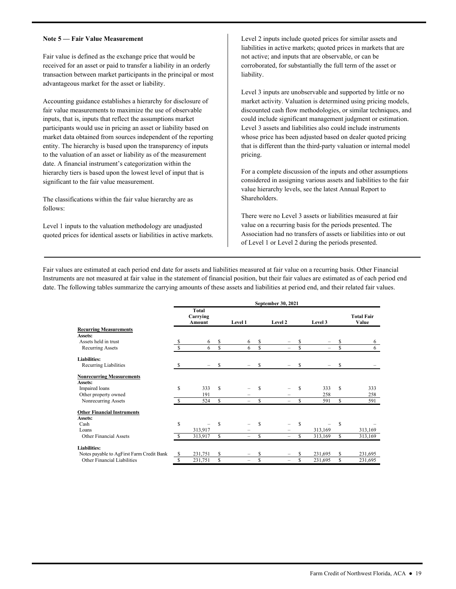### **Note 5 — Fair Value Measurement**

Fair value is defined as the exchange price that would be received for an asset or paid to transfer a liability in an orderly transaction between market participants in the principal or most advantageous market for the asset or liability.

 date. A financial instrument's categorization within the Accounting guidance establishes a hierarchy for disclosure of fair value measurements to maximize the use of observable inputs, that is, inputs that reflect the assumptions market participants would use in pricing an asset or liability based on market data obtained from sources independent of the reporting entity. The hierarchy is based upon the transparency of inputs to the valuation of an asset or liability as of the measurement hierarchy tiers is based upon the lowest level of input that is significant to the fair value measurement.

The classifications within the fair value hierarchy are as follows:

Level 1 inputs to the valuation methodology are unadjusted quoted prices for identical assets or liabilities in active markets.

Level 2 inputs include quoted prices for similar assets and liabilities in active markets; quoted prices in markets that are not active; and inputs that are observable, or can be corroborated, for substantially the full term of the asset or liability.

 Level 3 inputs are unobservable and supported by little or no discounted cash flow methodologies, or similar techniques, and pricing. market activity. Valuation is determined using pricing models, could include significant management judgment or estimation. Level 3 assets and liabilities also could include instruments whose price has been adjusted based on dealer quoted pricing that is different than the third-party valuation or internal model

For a complete discussion of the inputs and other assumptions considered in assigning various assets and liabilities to the fair value hierarchy levels, see the latest Annual Report to Shareholders.

 of Level 1 or Level 2 during the periods presented. There were no Level 3 assets or liabilities measured at fair value on a recurring basis for the periods presented. The Association had no transfers of assets or liabilities into or out

 Fair values are estimated at each period end date for assets and liabilities measured at fair value on a recurring basis. Other Financial Instruments are not measured at fair value in the statement of financial position, but their fair values are estimated as of each period end date. The following tables summarize the carrying amounts of these assets and liabilities at period end, and their related fair values.

|                                           |    |                             |    |         |    | September 30, 2021 |    |         |     |                            |
|-------------------------------------------|----|-----------------------------|----|---------|----|--------------------|----|---------|-----|----------------------------|
|                                           |    | Total<br>Carrying<br>Amount |    | Level 1 |    | Level 2            |    | Level 3 |     | <b>Total Fair</b><br>Value |
| <b>Recurring Measurements</b>             |    |                             |    |         |    |                    |    |         |     |                            |
| Assets:                                   |    |                             |    |         |    |                    |    |         |     |                            |
| Assets held in trust                      |    | 6                           | S  | 6       | \$ |                    |    |         |     | 6                          |
| <b>Recurring Assets</b>                   |    | 6                           | \$ | 6       | \$ | -                  | \$ | -       | \$  | 6                          |
| <b>Liabilities:</b>                       |    |                             |    |         |    |                    |    |         |     |                            |
| Recurring Liabilities                     | S  |                             | \$ |         | \$ |                    |    |         | S   |                            |
| <b>Nonrecurring Measurements</b>          |    |                             |    |         |    |                    |    |         |     |                            |
| Assets:                                   |    |                             |    |         |    |                    |    |         |     |                            |
| Impaired loans                            | \$ | 333                         | S  |         | S  |                    | S  | 333     | S   | 333                        |
| Other property owned                      |    | 191                         |    |         |    |                    |    | 258     |     | 258                        |
| Nonrecurring Assets                       | \$ | 524                         | \$ | -       | S  | -                  | S  | 591     | \$  | 591                        |
| <b>Other Financial Instruments</b>        |    |                             |    |         |    |                    |    |         |     |                            |
| Assets:                                   |    |                             |    |         |    |                    |    |         |     |                            |
| Cash                                      | \$ |                             | \$ |         | S  |                    | S  |         | S   |                            |
| Loans                                     |    | 313,917                     |    |         |    |                    |    | 313,169 |     | 313,169                    |
| <b>Other Financial Assets</b>             |    | 313,917                     | \$ |         | S  |                    |    | 313,169 | \$. | 313,169                    |
| <b>Liabilities:</b>                       |    |                             |    |         |    |                    |    |         |     |                            |
| Notes payable to AgFirst Farm Credit Bank | \$ | 231,751                     | \$ |         | S  |                    |    | 231,695 | S   | 231,695                    |
| Other Financial Liabilities               | \$ | 231,751                     | \$ |         | \$ |                    | \$ | 231,695 | \$  | 231,695                    |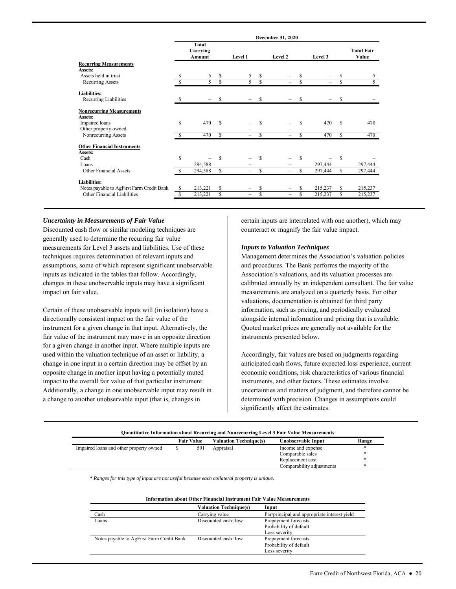|                                           |     |                             |                    |                          |    | December 31, 2020        |               |         |    |                            |
|-------------------------------------------|-----|-----------------------------|--------------------|--------------------------|----|--------------------------|---------------|---------|----|----------------------------|
|                                           |     | Total<br>Carrying<br>Amount |                    | Level 1                  |    | Level 2                  |               | Level 3 |    | <b>Total Fair</b><br>Value |
| <b>Recurring Measurements</b>             |     |                             |                    |                          |    |                          |               |         |    |                            |
| Assets:                                   |     |                             |                    |                          |    |                          |               |         |    |                            |
| Assets held in trust                      |     | 5                           | \$                 | 5                        | \$ |                          |               |         |    | 5                          |
| Recurring Assets                          |     | 5                           | $\mathbf{\hat{s}}$ | 5                        | Ś. |                          | \$            |         | Ś. | 5                          |
| <b>Liabilities:</b>                       |     |                             |                    |                          |    |                          |               |         |    |                            |
| Recurring Liabilities                     |     |                             | S                  |                          | S  |                          | S             |         | S  |                            |
| <b>Nonrecurring Measurements</b>          |     |                             |                    |                          |    |                          |               |         |    |                            |
| Assets:                                   |     |                             |                    |                          |    |                          |               |         |    |                            |
| Impaired loans                            | S   | 470                         | \$.                |                          | S  |                          | S             | 470     | S  | 470                        |
| Other property owned                      |     |                             |                    |                          |    |                          |               |         |    |                            |
| Nonrecurring Assets                       | \$. | 470                         | $\mathcal{S}$      | $\overline{\phantom{0}}$ | S  | $\overline{\phantom{0}}$ | S             | 470     | S  | 470                        |
| <b>Other Financial Instruments</b>        |     |                             |                    |                          |    |                          |               |         |    |                            |
| Assets:                                   |     |                             |                    |                          |    |                          |               |         |    |                            |
| Cash                                      | S   |                             | S                  |                          | S  |                          | S             |         | S  |                            |
| Loans                                     |     | 294,588                     |                    |                          |    |                          |               | 297,444 |    | 297,444                    |
| <b>Other Financial Assets</b>             | S   | 294,588                     | \$                 | $\qquad \qquad -$        | \$ | $\overline{\phantom{m}}$ | <sup>\$</sup> | 297,444 | S  | 297,444                    |
| <b>Liabilities:</b>                       |     |                             |                    |                          |    |                          |               |         |    |                            |
| Notes payable to AgFirst Farm Credit Bank | S   | 213,221                     | S                  |                          | S  |                          |               | 215,237 | S  | 215,237                    |
| Other Financial Liabilities               | S   | 213,221                     | S                  | -                        | \$ | -                        | S             | 215,237 | S  | 215,237                    |
|                                           |     |                             |                    |                          |    |                          |               |         |    |                            |

### *Uncertainty in Measurements of Fair Value*

 Discounted cash flow or similar modeling techniques are impact on fair value. generally used to determine the recurring fair value measurements for Level 3 assets and liabilities. Use of these techniques requires determination of relevant inputs and assumptions, some of which represent significant unobservable inputs as indicated in the tables that follow. Accordingly, changes in these unobservable inputs may have a significant

 for a given change in another input. Where multiple inputs are change in one input in a certain direction may be offset by an Certain of these unobservable inputs will (in isolation) have a directionally consistent impact on the fair value of the instrument for a given change in that input. Alternatively, the fair value of the instrument may move in an opposite direction used within the valuation technique of an asset or liability, a opposite change in another input having a potentially muted impact to the overall fair value of that particular instrument. Additionally, a change in one unobservable input may result in a change to another unobservable input (that is, changes in

certain inputs are interrelated with one another), which may counteract or magnify the fair value impact.

### *Inputs to Valuation Techniques*

 calibrated annually by an independent consultant. The fair value valuations, documentation is obtained for third party information, such as pricing, and periodically evaluated instruments presented below. Management determines the Association's valuation policies and procedures. The Bank performs the majority of the Association's valuations, and its valuation processes are measurements are analyzed on a quarterly basis. For other alongside internal information and pricing that is available. Quoted market prices are generally not available for the

 anticipated cash flows, future expected loss experience, current significantly affect the estimates. Accordingly, fair values are based on judgments regarding economic conditions, risk characteristics of various financial instruments, and other factors. These estimates involve uncertainties and matters of judgment, and therefore cannot be determined with precision. Changes in assumptions could

|                                         | <b>Fair Value</b> | <b>Valuation Technique(s)</b> | Unobservable Input        | Range  |
|-----------------------------------------|-------------------|-------------------------------|---------------------------|--------|
| Impaired loans and other property owned | 591               | Appraisal                     | Income and expense        | ∗      |
|                                         |                   |                               | Comparable sales          | ∗      |
|                                         |                   |                               | Replacement cost          | ∗      |
|                                         |                   |                               | Comparability adjustments | $\ast$ |

 *\* Ranges for this type of input are not useful because each collateral property is unique.* 

|                                           | <b>Valuation Technique(s)</b> | Input                                        |  |  |
|-------------------------------------------|-------------------------------|----------------------------------------------|--|--|
| Cash                                      | Carrying value                | Par/principal and appropriate interest yield |  |  |
| Loans                                     | Discounted cash flow          | Prepayment forecasts                         |  |  |
|                                           |                               | Probability of default                       |  |  |
|                                           |                               | Loss severity                                |  |  |
| Notes payable to AgFirst Farm Credit Bank | Discounted cash flow          | Prepayment forecasts                         |  |  |
|                                           |                               | Probability of default                       |  |  |
|                                           |                               | Loss severity                                |  |  |